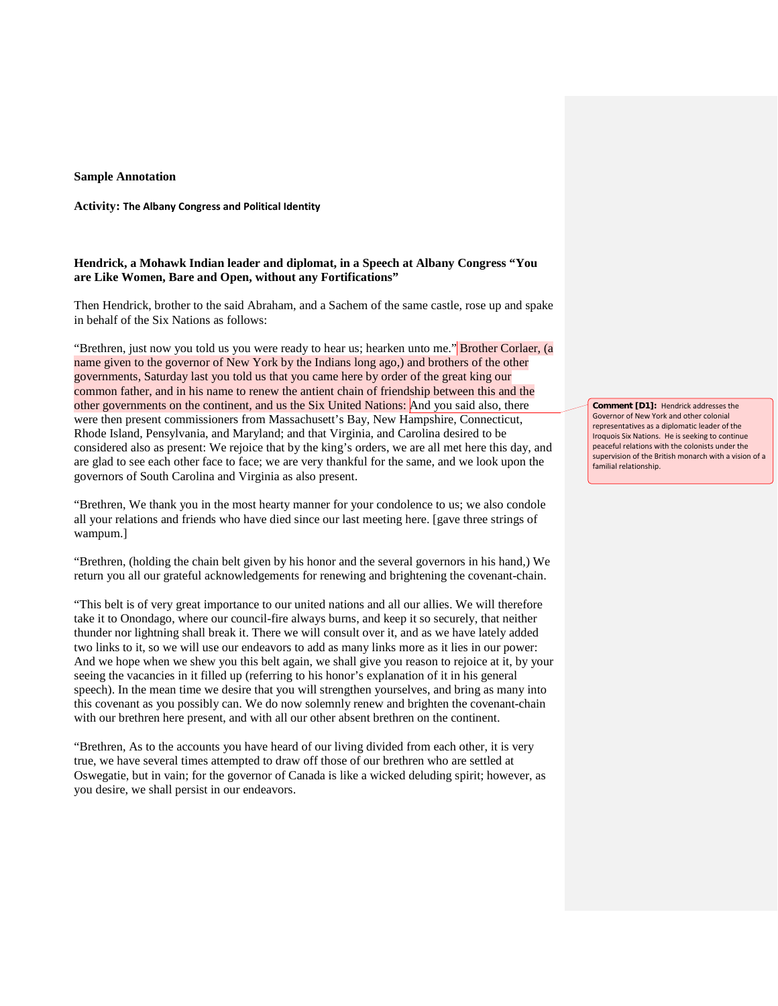## **Sample Annotation**

## **Activity: The Albany Congress and Political Identity**

## **Hendrick, a Mohawk Indian leader and diplomat, in a Speech at Albany Congress "You are Like Women, Bare and Open, without any Fortifications"**

Then Hendrick, brother to the said Abraham, and a Sachem of the same castle, rose up and spake in behalf of the Six Nations as follows:

"Brethren, just now you told us you were ready to hear us; hearken unto me." Brother Corlaer, (a name given to the governor of New York by the Indians long ago,) and brothers of the other governments, Saturday last you told us that you came here by order of the great king our common father, and in his name to renew the antient chain of friendship between this and the other governments on the continent, and us the Six United Nations: And you said also, there were then present commissioners from Massachusett's Bay, New Hampshire, Connecticut, Rhode Island, Pensylvania, and Maryland; and that Virginia, and Carolina desired to be considered also as present: We rejoice that by the king's orders, we are all met here this day, and are glad to see each other face to face; we are very thankful for the same, and we look upon the governors of South Carolina and Virginia as also present.

"Brethren, We thank you in the most hearty manner for your condolence to us; we also condole all your relations and friends who have died since our last meeting here. [gave three strings of wampum.]

"Brethren, (holding the chain belt given by his honor and the several governors in his hand,) We return you all our grateful acknowledgements for renewing and brightening the covenant-chain.

"This belt is of very great importance to our united nations and all our allies. We will therefore take it to Onondago, where our council-fire always burns, and keep it so securely, that neither thunder nor lightning shall break it. There we will consult over it, and as we have lately added two links to it, so we will use our endeavors to add as many links more as it lies in our power: And we hope when we shew you this belt again, we shall give you reason to rejoice at it, by your seeing the vacancies in it filled up (referring to his honor's explanation of it in his general speech). In the mean time we desire that you will strengthen yourselves, and bring as many into this covenant as you possibly can. We do now solemnly renew and brighten the covenant-chain with our brethren here present, and with all our other absent brethren on the continent.

"Brethren, As to the accounts you have heard of our living divided from each other, it is very true, we have several times attempted to draw off those of our brethren who are settled at Oswegatie, but in vain; for the governor of Canada is like a wicked deluding spirit; however, as you desire, we shall persist in our endeavors.

**Comment [D1]:** Hendrick addresses the Governor of New York and other colonial representatives as a diplomatic leader of the Iroquois Six Nations. He is seeking to continue peaceful relations with the colonists under the supervision of the British monarch with a vision of a familial relationship.